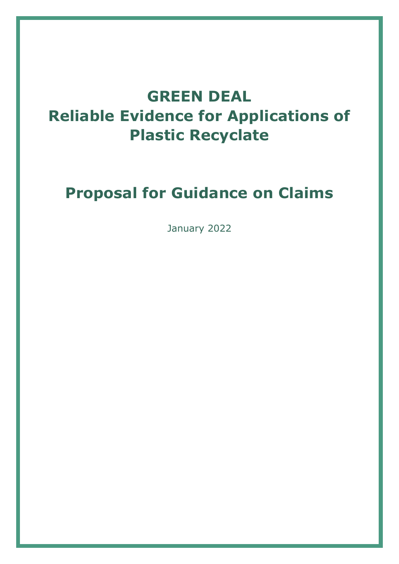# **GREEN DEAL Reliable Evidence for Applications of Plastic Recyclate**

# **Proposal for Guidance on Claims**

January 2022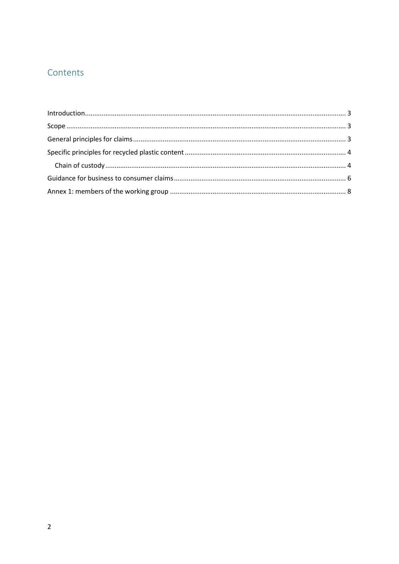# Contents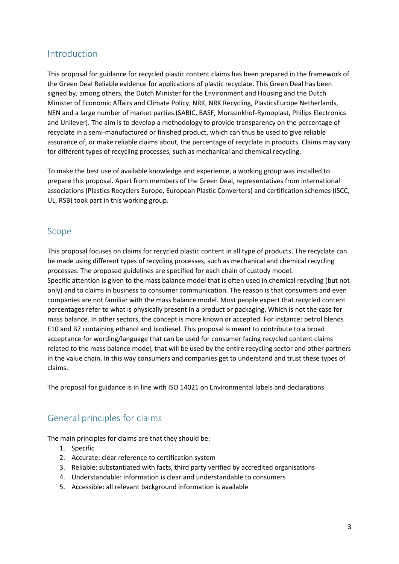## <span id="page-2-0"></span>Introduction

This proposal for guidance for recycled plastic content claims has been prepared in the framework of the Green Deal Reliable evidence for applications of plastic recyclate. This Green Deal has been signed by, among others, the Dutch Minister for the Environment and Housing and the Dutch Minister of Economic Affairs and Climate Policy, NRK, NRK Recycling, PlasticsEurope Netherlands, NEN and a large number of market parties (SABIC, BASF, Morssinkhof-Rymoplast, Philips Electronics and Unilever). The aim is to develop a methodology to provide transparency on the percentage of recyclate in a semi-manufactured or finished product, which can thus be used to give reliable assurance of, or make reliable claims about, the percentage of recyclate in products. Claims may vary for different types of recycling processes, such as mechanical and chemical recycling.

To make the best use of available knowledge and experience, a working group was installed to prepare this proposal. Apart from members of the Green Deal, representatives from international associations (Plastics Recyclers Europe, European Plastic Converters) and certification schemes (ISCC, UL, RSB) took part in this working group.

## <span id="page-2-1"></span>Scope

This proposal focuses on claims for recycled plastic content in all type of products. The recyclate can be made using different types of recycling processes, such as mechanical and chemical recycling processes. The proposed guidelines are specified for each chain of custody model. Specific attention is given to the mass balance model that is often used in chemical recycling (but not only) and to claims in business to consumer communication. The reason is that consumers and even companies are not familiar with the mass balance model. Most people expect that recycled content percentages refer to what is physically present in a product or packaging. Which is not the case for mass balance. In other sectors, the concept is more known or accepted. For instance: petrol blends E10 and B7 containing ethanol and biodiesel. This proposal is meant to contribute to a broad acceptance for wording/language that can be used for consumer facing recycled content claims related to the mass balance model, that will be used by the entire recycling sector and other partners in the value chain. In this way consumers and companies get to understand and trust these types of claims.

The proposal for guidance is in line with ISO 14021 on Environmental labels and declarations.

## <span id="page-2-2"></span>General principles for claims

The main principles for claims are that they should be:

- 1. Specific
- 2. Accurate: clear reference to certification system
- 3. Reliable: substantiated with facts, third party verified by accredited organisations
- 4. Understandable: information is clear and understandable to consumers
- 5. Accessible: all relevant background information is available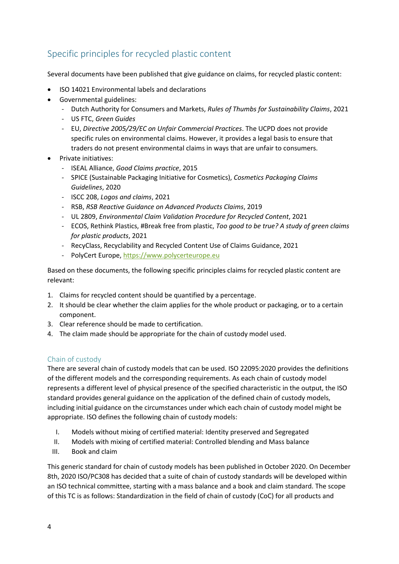# <span id="page-3-0"></span>Specific principles for recycled plastic content

Several documents have been published that give guidance on claims, for recycled plastic content:

- ISO 14021 Environmental labels and declarations
- Governmental guidelines:
	- ‐ Dutch Authority for Consumers and Markets, *Rules of Thumbs for Sustainability Claims*, 2021
	- ‐ US FTC, *Green Guides*
	- ‐ EU, *Directive 2005/29/EC on Unfair Commercial Practices*. The UCPD does not provide specific rules on environmental claims. However, it provides a legal basis to ensure that traders do not present environmental claims in ways that are unfair to consumers.
- Private initiatives:
	- ‐ ISEAL Alliance, *Good Claims practice*, 2015
	- ‐ SPICE (Sustainable Packaging Initiative for Cosmetics), *Cosmetics Packaging Claims Guidelines*, 2020
	- ‐ ISCC 208, *Logos and claims*, 2021
	- ‐ RSB, *RSB Reactive Guidance on Advanced Products Claims*, 2019
	- ‐ UL 2809, *Environmental Claim Validation Procedure for Recycled Content*, 2021
	- ‐ ECOS, Rethink Plastics, #Break free from plastic, *Too good to be true? A study of green claims for plastic products*, 2021
	- ‐ RecyClass, Recyclability and Recycled Content Use of Claims Guidance, 2021
	- ‐ PolyCert Europe, [https://www.polycerteurope.eu](https://www.polycerteurope.eu/)

Based on these documents, the following specific principles claims for recycled plastic content are relevant:

- 1. Claims for recycled content should be quantified by a percentage.
- 2. It should be clear whether the claim applies for the whole product or packaging, or to a certain component.
- 3. Clear reference should be made to certification.
- 4. The claim made should be appropriate for the chain of custody model used.

## <span id="page-3-1"></span>Chain of custody

There are several chain of custody models that can be used. ISO 22095:2020 provides the definitions of the different models and the corresponding requirements. As each chain of custody model represents a different level of physical presence of the specified characteristic in the output, the ISO standard provides general guidance on the application of the defined chain of custody models, including initial guidance on the circumstances under which each chain of custody model might be appropriate. ISO defines the following chain of custody models:

- I. Models without mixing of certified material: Identity preserved and Segregated
- II. Models with mixing of certified material: Controlled blending and Mass balance
- III. Book and claim

This generic standard for chain of custody models has been published in October 2020. On December 8th, 2020 ISO/PC308 has decided that a suite of chain of custody standards will be developed within an ISO technical committee, starting with a mass balance and a book and claim standard. The scope of this TC is as follows: Standardization in the field of chain of custody (CoC) for all products and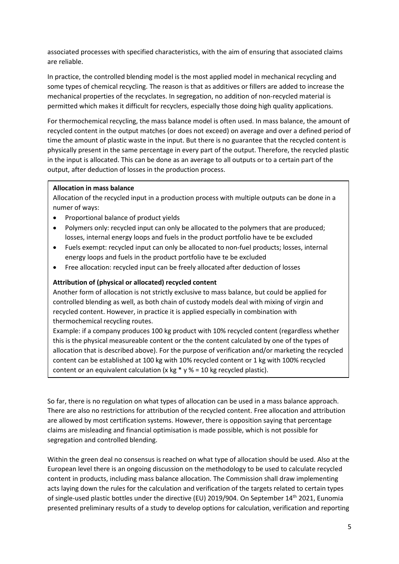associated processes with specified characteristics, with the aim of ensuring that associated claims are reliable.

In practice, the controlled blending model is the most applied model in mechanical recycling and some types of chemical recycling. The reason is that as additives or fillers are added to increase the mechanical properties of the recyclates. In segregation, no addition of non-recycled material is permitted which makes it difficult for recyclers, especially those doing high quality applications.

For thermochemical recycling, the mass balance model is often used. In mass balance, the amount of recycled content in the output matches (or does not exceed) on average and over a defined period of time the amount of plastic waste in the input. But there is no guarantee that the recycled content is physically present in the same percentage in every part of the output. Therefore, the recycled plastic in the input is allocated. This can be done as an average to all outputs or to a certain part of the output, after deduction of losses in the production process.

#### **Allocation in mass balance**

Allocation of the recycled input in a production process with multiple outputs can be done in a numer of ways:

- Proportional balance of product yields
- Polymers only: recycled input can only be allocated to the polymers that are produced; losses, internal energy loops and fuels in the product portfolio have te be excluded
- Fuels exempt: recycled input can only be allocated to non-fuel products; losses, internal energy loops and fuels in the product portfolio have te be excluded
- Free allocation: recycled input can be freely allocated after deduction of losses

### **Attribution of (physical or allocated) recycled content**

Another form of allocation is not strictly exclusive to mass balance, but could be applied for controlled blending as well, as both chain of custody models deal with mixing of virgin and recycled content. However, in practice it is applied especially in combination with thermochemical recycling routes.

Example: if a company produces 100 kg product with 10% recycled content (regardless whether this is the physical measureable content or the the content calculated by one of the types of allocation that is described above). For the purpose of verification and/or marketing the recycled content can be established at 100 kg with 10% recycled content or 1 kg with 100% recycled content or an equivalent calculation (x kg  $*$  y % = 10 kg recycled plastic).

So far, there is no regulation on what types of allocation can be used in a mass balance approach. There are also no restrictions for attribution of the recycled content. Free allocation and attribution are allowed by most certification systems. However, there is opposition saying that percentage claims are misleading and financial optimisation is made possible, which is not possible for segregation and controlled blending.

Within the green deal no consensus is reached on what type of allocation should be used. Also at the European level there is an ongoing discussion on the methodology to be used to calculate recycled content in products, including mass balance allocation. The Commission shall draw implementing acts laying down the rules for the calculation and verification of the targets related to certain types of single-used plastic bottles under the directive (EU) 2019/904. On September 14<sup>th</sup> 2021, Eunomia presented preliminary results of a study to develop options for calculation, verification and reporting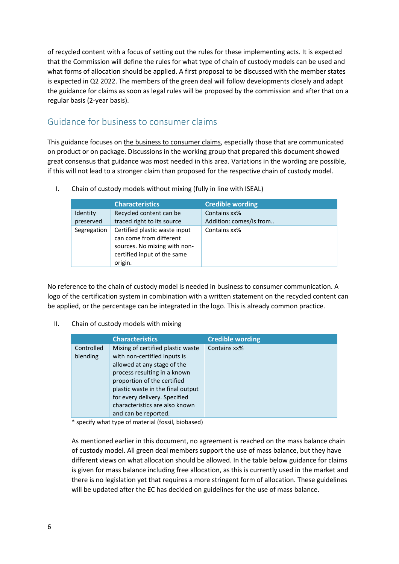of recycled content with a focus of setting out the rules for these implementing acts. It is expected that the Commission will define the rules for what type of chain of custody models can be used and what forms of allocation should be applied. A first proposal to be discussed with the member states is expected in Q2 2022. The members of the green deal will follow developments closely and adapt the guidance for claims as soon as legal rules will be proposed by the commission and after that on a regular basis (2-year basis).

## <span id="page-5-0"></span>Guidance for business to consumer claims

This guidance focuses on the business to consumer claims, especially those that are communicated on product or on package. Discussions in the working group that prepared this document showed great consensus that guidance was most needed in this area. Variations in the wording are possible, if this will not lead to a stronger claim than proposed for the respective chain of custody model.

|                       | <b>Characteristics</b>                                                                                                             | <b>Credible wording</b>                 |
|-----------------------|------------------------------------------------------------------------------------------------------------------------------------|-----------------------------------------|
| Identity<br>preserved | Recycled content can be<br>traced right to its source                                                                              | Contains xx%<br>Addition: comes/is from |
| Segregation           | Certified plastic waste input<br>can come from different<br>sources. No mixing with non-<br>certified input of the same<br>origin. | Contains xx%                            |

I. Chain of custody models without mixing (fully in line with ISEAL)

No reference to the chain of custody model is needed in business to consumer communication. A logo of the certification system in combination with a written statement on the recycled content can be applied, or the percentage can be integrated in the logo. This is already common practice.

### II. Chain of custody models with mixing

|                        | <b>Characteristics</b>                                                                                                                                                                                                                                                                          | <b>Credible wording</b> |
|------------------------|-------------------------------------------------------------------------------------------------------------------------------------------------------------------------------------------------------------------------------------------------------------------------------------------------|-------------------------|
| Controlled<br>blending | Mixing of certified plastic waste<br>with non-certified inputs is<br>allowed at any stage of the<br>process resulting in a known<br>proportion of the certified<br>plastic waste in the final output<br>for every delivery. Specified<br>characteristics are also known<br>and can be reported. | Contains xx%            |

\* specify what type of material (fossil, biobased)

As mentioned earlier in this document, no agreement is reached on the mass balance chain of custody model. All green deal members support the use of mass balance, but they have different views on what allocation should be allowed. In the table below guidance for claims is given for mass balance including free allocation, as this is currently used in the market and there is no legislation yet that requires a more stringent form of allocation. These guidelines will be updated after the EC has decided on guidelines for the use of mass balance.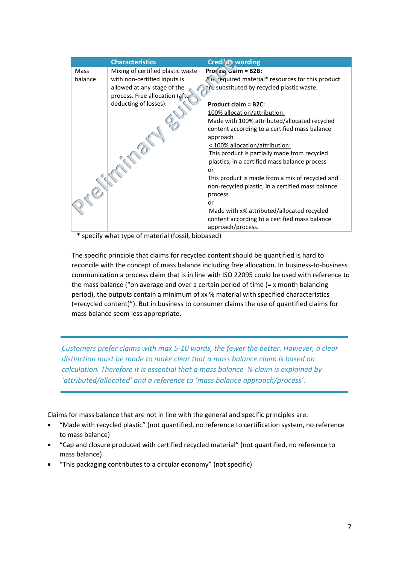|         | <b>Characteristics</b>            | <b>Credi'</b> <i>y</i> <b>wording</b>             |
|---------|-----------------------------------|---------------------------------------------------|
| Mass    | Mixing of certified plastic waste | $Proof$ ess ciaim = B2B:                          |
| balance | with non-certified inputs is      | The required material* resources for this product |
|         | allowed at any stage of the       | are substituted by recycled plastic waste.        |
|         | process. Free allocation (after   |                                                   |
|         | deducting of losses).             | <b>Product claim = B2C:</b>                       |
|         |                                   | 100% allocation/attribution:                      |
|         |                                   | Made with 100% attributed/allocated recycled      |
|         |                                   | content according to a certified mass balance     |
|         |                                   | approach                                          |
|         |                                   | < 100% allocation/attribution:                    |
|         |                                   | This product is partially made from recycled      |
|         |                                   | plastics, in a certified mass balance process     |
|         |                                   | or                                                |
|         |                                   | This product is made from a mix of recycled and   |
|         |                                   | non-recycled plastic, in a certified mass balance |
|         |                                   | process                                           |
|         |                                   | or                                                |
|         |                                   | Made with x% attributed/allocated recycled        |
|         |                                   | content according to a certified mass balance     |
|         | .                                 | approach/process.                                 |

\* specify what type of material (fossil, biobased)

The specific principle that claims for recycled content should be quantified is hard to reconcile with the concept of mass balance including free allocation. In business-to-business communication a process claim that is in line with ISO 22095 could be used with reference to the mass balance ("on average and over a certain period of time (= x month balancing period), the outputs contain a minimum of xx % material with specified characteristics (=recycled content)"). But in business to consumer claims the use of quantified claims for mass balance seem less appropriate.

*Customers prefer claims with max 5-10 words, the fewer the better. However, a clear distinction must be made to make clear that a mass balance claim is based on calculation. Therefore it is essential that a mass balance % claim is explained by 'attributed/allocated' and a reference to 'mass balance approach/process'.*

Claims for mass balance that are not in line with the general and specific principles are:

- "Made with recycled plastic" (not quantified, no reference to certification system, no reference to mass balance)
- "Cap and closure produced with certified recycled material" (not quantified, no reference to mass balance)
- "This packaging contributes to a circular economy" (not specific)